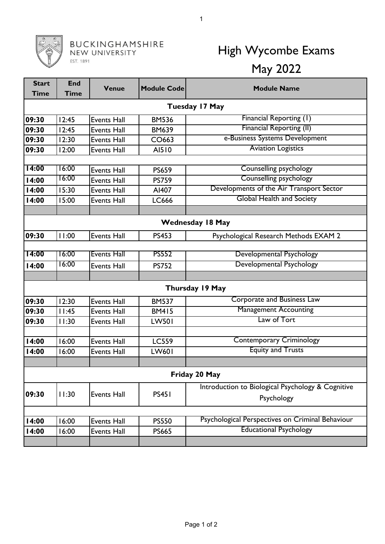## **BUCKINGHAMSHIRE**<br>NEW UNIVERSITY EST. 1891

## High Wycombe Exams May 2022

| <b>Start</b>            | <b>End</b>    | <b>Venue</b>       | <b>Module Code</b> | <b>Module Name</b>                                |  |  |  |  |
|-------------------------|---------------|--------------------|--------------------|---------------------------------------------------|--|--|--|--|
| <b>Time</b>             | <b>Time</b>   |                    |                    |                                                   |  |  |  |  |
| <b>Tuesday 17 May</b>   |               |                    |                    |                                                   |  |  |  |  |
| 09:30                   | 12:45         | <b>Events Hall</b> | <b>BM536</b>       | Financial Reporting (1)                           |  |  |  |  |
| 09:30                   | 12:45         | <b>Events Hall</b> | <b>BM639</b>       | <b>Financial Reporting (II)</b>                   |  |  |  |  |
| 09:30                   | 12:30         | <b>Events Hall</b> | CO663              | e-Business Systems Development                    |  |  |  |  |
| 09:30                   | 12:00         | <b>Events Hall</b> | AI510              | <b>Aviation Logistics</b>                         |  |  |  |  |
|                         |               |                    |                    |                                                   |  |  |  |  |
| 14:00                   | 16:00         | <b>Events Hall</b> | <b>PS659</b>       | <b>Counselling psychology</b>                     |  |  |  |  |
| 14:00                   | 16:00         | <b>Events Hall</b> | <b>PS759</b>       | <b>Counselling psychology</b>                     |  |  |  |  |
| 14:00                   | 15:30         | <b>Events Hall</b> | AI407              | Developments of the Air Transport Sector          |  |  |  |  |
| 14:00                   | 15:00         | <b>Events Hall</b> | LC666              | <b>Global Health and Society</b>                  |  |  |  |  |
|                         |               |                    |                    |                                                   |  |  |  |  |
| <b>Wednesday 18 May</b> |               |                    |                    |                                                   |  |  |  |  |
| 09:30                   | 11:00         | <b>Events Hall</b> | <b>PS453</b>       | Psychological Research Methods EXAM 2             |  |  |  |  |
|                         |               |                    |                    |                                                   |  |  |  |  |
| 14:00                   | 16:00         | <b>Events Hall</b> | <b>PS552</b>       | Developmental Psychology                          |  |  |  |  |
| 14:00                   | 16:00         | <b>Events Hall</b> | <b>PS752</b>       | Developmental Psychology                          |  |  |  |  |
|                         |               |                    |                    |                                                   |  |  |  |  |
| Thursday 19 May         |               |                    |                    |                                                   |  |  |  |  |
| 09:30                   | 12:30         | <b>Events Hall</b> | <b>BM537</b>       | Corporate and Business Law                        |  |  |  |  |
| 09:30                   | 11:45         | <b>Events Hall</b> | <b>BM415</b>       | <b>Management Accounting</b>                      |  |  |  |  |
| 09:30                   | 11:30         | <b>Events Hall</b> | <b>LW501</b>       | Law of Tort                                       |  |  |  |  |
|                         |               |                    |                    |                                                   |  |  |  |  |
| 14:00                   | 16:00         | <b>Events Hall</b> | <b>LC559</b>       | <b>Contemporary Criminology</b>                   |  |  |  |  |
| 14:00                   | 16:00         | <b>Events Hall</b> | LW601              | <b>Equity and Trusts</b>                          |  |  |  |  |
|                         |               |                    |                    |                                                   |  |  |  |  |
|                         | Friday 20 May |                    |                    |                                                   |  |  |  |  |
|                         |               |                    |                    | Introduction to Biological Psychology & Cognitive |  |  |  |  |
| 09:30                   | 11:30         | <b>Events Hall</b> | <b>PS451</b>       | Psychology                                        |  |  |  |  |
|                         |               |                    |                    |                                                   |  |  |  |  |
| 14:00                   | 16:00         | Events Hall        | <b>PS550</b>       | Psychological Perspectives on Criminal Behaviour  |  |  |  |  |
| 14:00                   | 16:00         | <b>Events Hall</b> | <b>PS665</b>       | <b>Educational Psychology</b>                     |  |  |  |  |
|                         |               |                    |                    |                                                   |  |  |  |  |

1